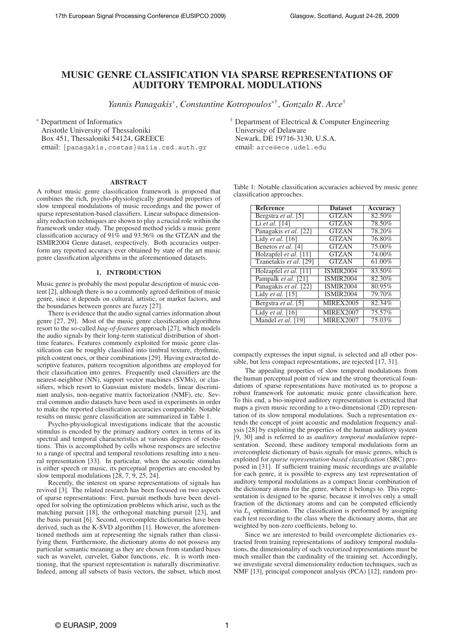# **MUSIC GENRE CLASSIFICATION VIA SPARSE REPRESENTATIONS OF AUDITORY TEMPORAL MODULATIONS**

*Yannis Panagakis*<sup>∗</sup>*, Constantine Kotropoulos*<sup>∗</sup>†*, Gonzalo R. Arce*†

<sup>∗</sup> Department of Informatics

Aristotle University of Thessaloniki Box 451, Thessaloniki 54124, GREECE email: {panagakis, costas}@aiia.csd.auth.gr

**ABSTRACT**

A robust music genre classification framework is proposed that combines the rich, psycho-physiologically grounded properties of slow temporal modulations of music recordings and the power of sparse representation-based classifiers. Linear subspace dimensionality reduction techniques are shown to play a crucial role within the framework under study. The proposed method yields a music genre classification accuracy of 91% and 93.56% on the GTZAN and the ISMIR2004 Genre dataset, respectively. Both accuracies outperform any reported accuracy ever obtained by state of the art music genre classification algorithms in the aforementioned datasets.

### **1. INTRODUCTION**

Music genre is probably the most popular description of music content [2], although there is no a commonly agreed definition of music genre, since it depends on cultural, artistic, or market factors, and the boundaries between genres are fuzzy [27].

There is evidence that the audio signal carries information about genre [27, 29]. Most of the music genre classification algorithms resort to the so-called *bag-of-features* approach [27], which models the audio signals by their long-term statistical distribution of shorttime features. Features commonly exploited for music genre classification can be roughly classified into timbral texture, rhythmic, pitch content ones, or their combinations [29]. Having extracted descriptive features, pattern recognition algorithms are employed for their classification into genres. Frequently used classifiers are the nearest-neighbor (NN), support vector machines (SVMs), or classifiers, which resort to Gaussian mixture models, linear discriminant analysis, non-negative matrix factorization (NMF), etc. Several common audio datasets have been used in experiments in order to make the reported classification accuracies comparable. Notable results on music genre classification are summarized in Table 1.

Psycho-physiological investigations indicate that the acoustic stimulus is encoded by the primary auditory cortex in terms of its spectral and temporal characteristics at various degrees of resolutions. This is accomplished by cells whose responses are selective to a range of spectral and temporal resolutions resulting into a neural representation [33]. In particular, when the acoustic stimulus is either speech or music, its perceptual properties are encoded by slow temporal modulations [28, 7, 9, 25, 24].

Recently, the interest on sparse representations of signals has revived [3]. The related research has been focused on two aspects of sparse representations: First, pursuit methods have been developed for solving the optimization problems which arise, such as the matching pursuit [18], the orthogonal matching pursuit [23], and the basis pursuit [6]. Second, overcomplete dictionaries have been derived, such as the K-SVD algorithm [1]. However, the aforementioned methods aim at representing the signals rather than classifying them. Furthermore, the dictionary atoms do not possess any particular semantic meaning as they are chosen from standard bases such as wavelet, curvelet, Gabor functions, etc. It is worth mentioning, that the sparsest representation is naturally discriminative. Indeed, among all subsets of basis vectors, the subset, which most † Department of Electrical & Computer Engineering University of Delaware Newark, DE 19716-3130, U.S.A. email: arce@ece.udel.edu

Table 1: Notable classification accuracies achieved by music genre classification approaches.

| Reference              | <b>Dataset</b>   | Accuracy |
|------------------------|------------------|----------|
| Bergstra et al. [5]    | <b>GTZAN</b>     | 82.50%   |
| Li et al. $[14]$       | <b>GTZAN</b>     | 78.50%   |
| Panagakis et al. [22]  | <b>GTZAN</b>     | 78.20%   |
| Lidy et al. [16]       | <b>GTZAN</b>     | 76.80%   |
| Benetos et al. [4]     | <b>GTZAN</b>     | 75.00%   |
| Holzapfel et al. [11]  | <b>GTZAN</b>     | 74.00%   |
| Tzanetakis et al. [29] | <b>GTZAN</b>     | 61.00%   |
| Holzapfel et al. [11]  | <b>ISMIR2004</b> | 83.50%   |
| Pampalk et al. [21]    | <b>ISMIR2004</b> | 82.30%   |
| Panagakis et al. [22]  | <b>ISMIR2004</b> | 80.95%   |
| Lidy et al. [15]       | <b>ISMIR2004</b> | 79.70%   |
| Bergstra et al. [5]    | <b>MIREX2005</b> | 82.34%   |
| Lidy et al. [16]       | <b>MIREX2007</b> | 75.57%   |
| Mandel et al. [19]     | MIREX2007        | 75.03%   |

compactly expresses the input signal, is selected and all other possible, but less compact representations, are rejected [17, 31].

The appealing properties of slow temporal modulations from the human perceptual point of view and the strong theoretical foundations of sparse representations have motivated us to propose a robust framework for automatic music genre classification here. To this end, a bio-inspired auditory representation is extracted that maps a given music recording to a two-dimensional (2D) representation of its slow temporal modulations. Such a representation extends the concept of joint acoustic and modulation frequency analysis [28] by exploiting the properties of the human auditory system [9, 30] and is referred to as *auditory temporal modulation* representation. Second, these auditory temporal modulations form an overcomplete dictionary of basis signals for music genres, which is exploited for *sparse representation-based classification* (SRC) proposed in [31]. If sufficient training music recordings are available for each genre, it is possible to express any test representation of auditory temporal modulations as a compact linear combination of the dictionary atoms for the genre, where it belongs to. This representation is designed to be sparse, because it involves only a small fraction of the dictionary atoms and can be computed efficiently via  $L_1$  optimization. The classification is performed by assigning each test recording to the class where the dictionary atoms, that are weighted by non-zero coefficients, belong to.

Since we are interested to build overcomplete dictionaries extracted from training representations of auditory temporal modulations, the dimensionality of such vectorized representations must be much smaller than the cardinality of the training set. Accordingly, we investigate several dimensionality reduction techniques, such as NMF [13], principal component analysis (PCA) [12], random pro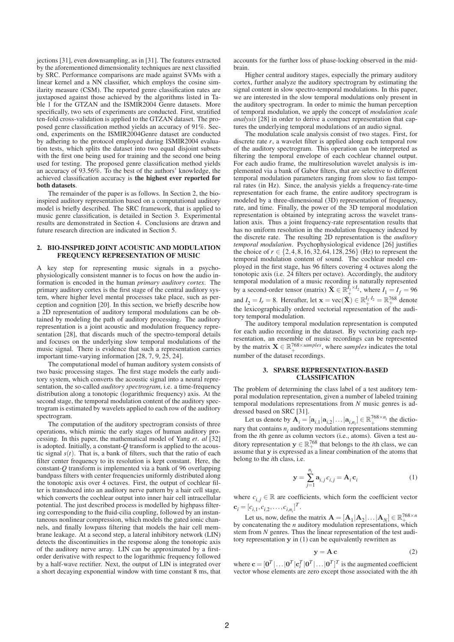jections [31], even downsampling, as in [31]. The features extracted by the aforementioned dimensionality techniques are next classified by SRC. Performance comparisons are made against SVMs with a linear kernel and a NN classifier, which employs the cosine similarity measure (CSM). The reported genre classification rates are juxtaposed against those achieved by the algorithms listed in Table 1 for the GTZAN and the ISMIR2004 Genre datasets. More specifically, two sets of experiments are conducted. First, stratified ten-fold cross-validation is applied to the GTZAN dataset. The proposed genre classification method yields an accuracy of 91%. Second, experiments on the ISMIR2004Genre dataset are conducted by adhering to the protocol employed during ISMIR2004 evaluation tests, which splits the dataset into two equal disjoint subsets with the first one being used for training and the second one being used for testing. The proposed genre classification method yields an accuracy of 93.56%. To the best of the authors' knowledge, the achieved classification accuracy is **the highest ever reported for both datasets**.

The remainder of the paper is as follows. In Section 2, the bioinspired auditory representation based on a computational auditory model is briefly described. The SRC framework, that is applied to music genre classification, is detailed in Section 3. Experimental results are demonstrated in Section 4. Conclusions are drawn and future research direction are indicated in Section 5.

#### **2. BIO-INSPIRED JOINT ACOUSTIC AND MODULATION FREQUENCY REPRESENTATION OF MUSIC**

A key step for representing music signals in a psychophysiologically consistent manner is to focus on how the audio information is encoded in the human *primary auditory cortex*. The primary auditory cortex is the first stage of the central auditory system, where higher level mental processes take place, such as perception and cognition [20]. In this section, we briefly describe how a 2D representation of auditory temporal modulations can be obtained by modeling the path of auditory processing. The auditory representation is a joint acoustic and modulation frequency representation [28], that discards much of the spectro-temporal details and focuses on the underlying slow temporal modulations of the music signal. There is evidence that such a representation carries important time-varying information [28, 7, 9, 25, 24].

The computational model of human auditory system consists of two basic processing stages. The first stage models the early auditory system, which converts the acoustic signal into a neural representation, the so-called *auditory spectrogram*, i.e. a time-frequency distribution along a tonotopic (logarithmic frequency) axis. At the second stage, the temporal modulation content of the auditory spectrogram is estimated by wavelets applied to each row of the auditory spectrogram.

The computation of the auditory spectrogram consists of three operations, which mimic the early stages of human auditory processing. In this paper, the mathematical model of Yang *et. al* [32] is adopted. Initially, a constant-*Q* transform is applied to the acoustic signal  $s(t)$ . That is, a bank of filters, such that the ratio of each filter center frequency to its resolution is kept constant. Here, the constant-*Q* transform is implemented via a bank of 96 overlapping bandpass filters with center frequencies uniformly distributed along the tonotopic axis over 4 octaves. First, the output of cochlear filter is transduced into an auditory nerve pattern by a hair cell stage, which converts the cochlear output into inner hair cell intracellular potential. The just described process is modelled by highpass filtering corresponding to the fluid-cilia coupling, followed by an instantaneous nonlinear compression, which models the gated ionic channels, and finally lowpass filtering that models the hair cell membrane leakage. At a second step, a lateral inhibitory network (LIN) detects the discontinuities in the response along the tonotopic axis of the auditory nerve array. LIN can be approximated by a firstorder derivative with respect to the logarithmic frequency followed by a half-wave rectifier. Next, the output of LIN is integrated over a short decaying exponential window with time constant 8 ms, that accounts for the further loss of phase-locking observed in the midbrain.

Higher central auditory stages, especially the primary auditory cortex, further analyze the auditory spectrogram by estimating the signal content in slow spectro-temporal modulations. In this paper, we are interested in the slow temporal modulations only present in the auditory spectrogram. In order to mimic the human perception of temporal modulation, we apply the concept of *modulation scale analysis* [28] in order to derive a compact representation that captures the underlying temporal modulations of an audio signal.

The modulation scale analysis consist of two stages. First, for discrete rate *r*, a wavelet filter is applied along each temporal row of the auditory spectrogram. This operation can be interpreted as filtering the temporal envelope of each cochlear channel output. For each audio frame, the multiresolution wavelet analysis is implemented via a bank of Gabor filters, that are selective to different temporal modulation parameters ranging from slow to fast temporal rates (in Hz). Since, the analysis yields a frequency-rate-time representation for each frame, the entire auditory spectrogram is modeled by a three-dimensional (3D) representation of frequency, rate, and time. Finally, the power of the 3D temporal modulation representation is obtained by integrating across the wavelet translation axis. Thus a joint frequency-rate representation results that has no uniform resolution in the modulation frequency indexed by the discrete rate. The resulting 2D representation is the *auditory temporal modulation*. Psychophysiological evidence [26] justifies the choice of  $r \in \{2, 4, 8, 16, 32, 64, 128, 256\}$  (Hz) to represent the temporal modulation content of sound. The cochlear model employed in the first stage, has 96 filters covering 4 octaves along the tonotopic axis (i.e. 24 filters per octave). Accordingly, the auditory temporal modulation of a music recording is naturally represented by a second-order tensor (matrix)  $\tilde{\mathbf{X}} \in \mathbb{R}_+^{\bar{I}_1 \times I_2}$ , where  $I_1 = I_f = 96$ and  $I_2 = I_r = 8$ . Hereafter, let  $\mathbf{x} = \text{vec}(\tilde{\mathbf{X}}) \in \mathbb{R}_+^{I_1 \cdot I_2} = \mathbb{R}_+^{768}$  denote the lexicographically ordered vectorial representation of the auditory temporal modulation.

The auditory temporal modulation representation is computed for each audio recording in the dataset. By vectorizing each representation, an ensemble of music recordings can be represented by the matrix  $\mathbf{X} \in \mathbb{R}_+^{768 \times samples}$ , where *samples* indicates the total number of the dataset recordings.

### **3. SPARSE REPRESENTATION-BASED CLASSIFICATION**

The problem of determining the class label of a test auditory temporal modulation representation, given a number of labeled training temporal modulations representations from *N* music genres is addressed based on SRC [31].

Let us denote by  $\mathbf{A}_i = [\mathbf{a}_{i,1} | \mathbf{a}_{i,2} | \dots | \mathbf{a}_{i,n_i}] \in \mathbb{R}_+^{768 \times n_i}$  the dictionary that contains  $n_i$  auditory modulation representations stemming from the *i*th genre as column vectors (i.e., atoms). Given a test auditory representation  $y \in \mathbb{R}^{768}_+$  that belongs to the *i*th class, we can assume that **y** is expressed as a linear combination of the atoms that belong to the *i*th class, i.e.

$$
\mathbf{y} = \sum_{j=1}^{n_i} \mathbf{a}_{i,j} c_{i,j} = \mathbf{A}_i \mathbf{c}_i
$$
 (1)

where  $c_{i,i} \in \mathbb{R}$  are coefficients, which form the coefficient vector  $\mathbf{c}_i = [c_{i,1}, c_{i,2}, \dots, c_{i,n_i}]^T.$ 

Let us, now, define the matrix  $\mathbf{A} = [\mathbf{A}_1 | \mathbf{A}_2 | \dots | \mathbf{A}_N] \in \mathbb{R}_+^{768 \times n}$ by concatenating the *n* auditory modulation representations, which stem from *N* genres. Thus the linear representation of the test auditory representation **y** in (1) can be equivalently rewritten as

$$
y = Ac
$$
 (2)

where  $\mathbf{c} = [\mathbf{0}^T | \dots | \mathbf{0}^T | \mathbf{c}_i^T | \mathbf{0}^T | \dots | \mathbf{0}^T]^T$  is the augmented coefficient vector whose elements are zero except those associated with the *i*th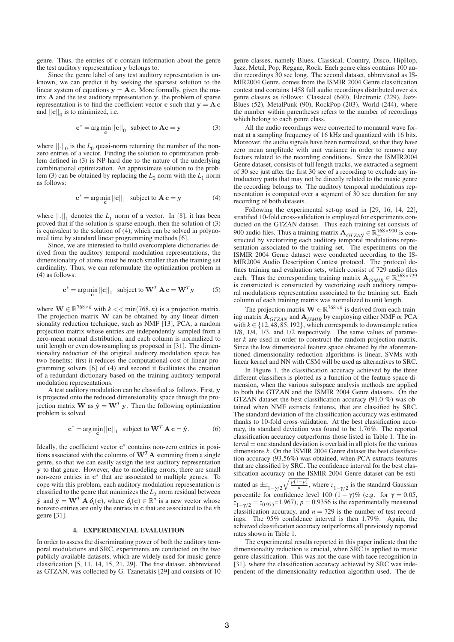genre. Thus, the entries of **c** contain information about the genre the test auditory representation **y** belongs to.

Since the genre label of any test auditory representation is unknown, we can predict it by seeking the sparsest solution to the linear system of equations  $y = A c$ . More formally, given the matrix **A** and the test auditory representation **y**, the problem of sparse representation is to find the coefficient vector **c** such that  $y = A c$ and  $||\mathbf{c}||_0$  is to minimized, i.e.

$$
\mathbf{c}^* = \arg\min_{\mathbf{c}} ||\mathbf{c}||_0 \text{ subject to } \mathbf{A}\mathbf{c} = \mathbf{y}
$$
 (3)

where  $\left\| . \right\|_0$  is the  $L_0$  quasi-norm returning the number of the nonzero entries of a vector. Finding the solution to optimization problem defined in (3) is NP-hard due to the nature of the underlying combinational optimization. An approximate solution to the problem (3) can be obtained by replacing the  $L_0$  norm with the  $L_1$  norm as follows:

$$
\mathbf{c}^* = \arg\min_{\mathbf{c}} ||\mathbf{c}||_1 \text{ subject to } \mathbf{A}\mathbf{c} = \mathbf{y}
$$
 (4)

where  $||.||_1$  denotes the  $L_1$  norm of a vector. In [8], it has been proved that if the solution is sparse enough, then the solution of (3) is equivalent to the solution of  $(4)$ , which can be solved in polynomial time by standard linear programming methods [6].

Since, we are interested to build overcomplete dictionaries derived from the auditory temporal modulation representations, the dimensionality of atoms must be much smaller than the training set cardinality. Thus, we can reformulate the optimization problem in (4) as follows:

$$
\mathbf{c}^* = \arg\min_{\mathbf{c}} ||\mathbf{c}||_1 \text{ subject to } \mathbf{W}^T \mathbf{A} \mathbf{c} = \mathbf{W}^T \mathbf{y} \tag{5}
$$

where **W**  $\in \mathbb{R}^{768 \times k}$  with  $k \lt \lt \min(768, n)$  is a projection matrix. The projection matrix **W** can be obtained by any linear dimensionality reduction technique, such as NMF [13], PCA, a random projection matrix whose entries are independently sampled from a zero-mean normal distribution, and each column is normalized to unit length or even downsampling as proposed in [31]. The dimensionality reduction of the original auditory modulation space has two benefits: first it reduces the computational cost of linear programming solvers [6] of (4) and second it facilitates the creation of a redundant dictionary based on the training auditory temporal modulation representations.

A test auditory modulation can be classified as follows. First, **y** is projected onto the reduced dimensionality space through the projection matrix **W** as  $\hat{\mathbf{y}} = \mathbf{W}^T \mathbf{y}$ . Then the following optimization problem is solved

$$
\mathbf{c}^* = \arg\min_{\mathbf{c}} ||\mathbf{c}||_1 \text{ subject to } \mathbf{W}^T \mathbf{A} \mathbf{c} = \hat{\mathbf{y}}.
$$
 (6)

Ideally, the coefficient vector **c**<sup>∗</sup> contains non-zero entries in positions associated with the columns of  $W<sup>T</sup> A$  stemming from a single genre, so that we can easily assign the test auditory representation **y** to that genre. However, due to modeling errors, there are small non-zero entries in **c**<sup>∗</sup> that are associated to multiple genres. To cope with this problem, each auditory modulation representation is classified to the genre that minimizes the  $L_2$  norm residual between  $\hat{\mathbf{y}}$  and  $\check{\mathbf{y}} = \mathbf{W}^T \mathbf{A} \delta_i(\mathbf{c})$ , where  $\delta_i(\mathbf{c}) \in \mathbb{R}^n$  is a new vector whose nonzero entries are only the entries in **c** that are associated to the *i*th genre [31].

#### **4. EXPERIMENTAL EVALUATION**

In order to assess the discriminating power of both the auditory temporal modulations and SRC, experiments are conducted on the two publicly available datasets, which are widely used for music genre classification [5, 11, 14, 15, 21, 29]. The first dataset, abbreviated as GTZAN, was collected by G. Tzanetakis [29] and consists of 10 genre classes, namely Blues, Classical, Country, Disco, HipHop, Jazz, Metal, Pop, Reggae, Rock. Each genre class contains 100 audio recordings 30 sec long. The second dataset, abbreviated as IS-MIR2004 Genre, comes from the ISMIR 2004 Genre classification contest and contains 1458 full audio recordings distributed over six genre classes as follows: Classical (640), Electronic (229), Jazz-Blues (52), MetalPunk (90), RockPop (203), World (244), where the number within parentheses refers to the number of recordings which belong to each genre class.

All the audio recordings were converted to monaural wave format at a sampling frequency of 16 kHz and quantized with 16 bits. Moreover, the audio signals have been normalized, so that they have zero mean amplitude with unit variance in order to remove any factors related to the recording conditions. Since the ISMIR2004 Genre dataset, consists of full length tracks, we extracted a segment of 30 sec just after the first 30 sec of a recording to exclude any introductory parts that may not be directly related to the music genre the recording belongs to. The auditory temporal modulations representation is computed over a segment of 30 sec duration for any recording of both datasets.

Following the experimental set-up used in [29, 16, 14, 22], stratified 10-fold cross-validation is employed for experiments conducted on the GTZAN dataset. Thus each training set consists of 900 audio files. Thus a training matrix  $\mathbf{A}_{GTZAN} \in \mathbb{R}_{+}^{768 \times 900}$  is constructed by vectorizing each auditory temporal modulations representation associated to the training set. The experiments on the ISMIR 2004 Genre dataset were conducted according to the IS-MIR2004 Audio Description Contest protocol. The protocol defines training and evaluation sets, which consist of 729 audio files each. Thus the corresponding training matrix  $\mathbf{A}_{ISMIR} \in \mathbb{R}_+^{768 \times 729}$ is constructed is constructed by vectorizing each auditory temporal modulations representation associated to the training set. Each column of each training matrix was normalized to unit length.

The projection matrix  $\mathbf{W} \in \mathbb{R}^{768 \times k}$  is derived from each training matrix **A***GT ZAN* and **A***ISMIR* by employing either NMF or PCA with  $k \in \{12, 48, 85, 192\}$ , which corresponds to downsample ratios 1/8, 1/4, 1/3, and 1/2 respectively. The same values of parameter *k* are used in order to construct the random projection matrix. Since the low dimensional feature space obtained by the aforementioned dimensionality reduction algorithms is linear, SVMs with linear kernel and NN with CSM will be used as alternatives to SRC.

In Figure 1, the classification accuracy achieved by the three different classifiers is plotted as a function of the feature space dimension, when the various subspace analysis methods are applied to both the GTZAN and the ISMIR 2004 Genre datasets. On the GTZAN dataset the best classification accuracy (91.0 %) was obtained when NMF extracts features, that are classified by SRC. The standard deviation of the classification accuracy was estimated thanks to 10-fold cross-validation. At the best classification accuracy, its standard deviation was found to be 1.76%. The reported classification accuracy outperforms those listed in Table 1. The interval  $\pm$  one standard deviation is overlaid in all plots for the various dimensions *k*. On the ISMIR 2004 Genre dataset the best classification accuracy (93.56%) was obtained, when PCA extracts features that are classified by SRC. The confidence interval for the best classification accuracy on the ISMIR 2004 Genre dataset can be estimated as  $\pm z_{1-\gamma/2}\sqrt{\frac{p(1-p)}{n}}$ , where  $z_{1-\gamma/2}$  is the standard Gaussian percentile for confidence level 100  $(1 - \gamma)$ % (e.g. for  $\gamma = 0.05$ ,  $\overline{z}_{1-\gamma/2} = \overline{z}_{0.975}$ =1.967), *p* = 0.9356 is the experimentally measured classification accuracy, and  $n = 729$  is the number of test recordings. The 95% confidence interval is then 1.79%. Again, the achieved classification accuracy outperforms all previously reported rates shown in Table 1.

The experimental results reported in this paper indicate that the dimensionality reduction is crucial, when SRC is applied to music genre classification. This was not the case with face recognition in [31], where the classification accuracy achieved by SRC was independent of the dimensionality reduction algorithm used. The de-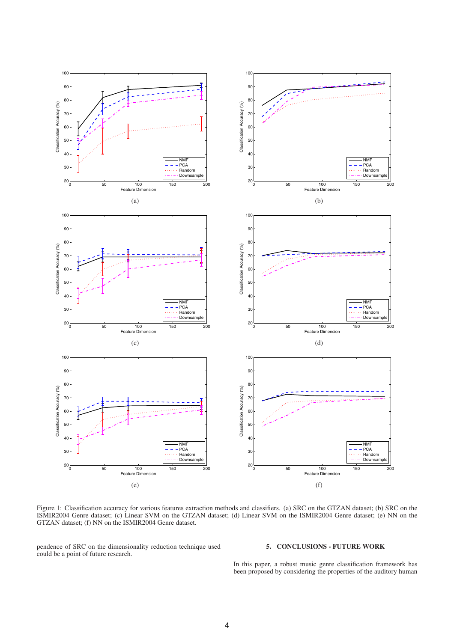

Figure 1: Classification accuracy for various features extraction methods and classifiers. (a) SRC on the GTZAN dataset; (b) SRC on the ISMIR2004 Genre dataset; (c) Linear SVM on the GTZAN dataset; (d) Linear SVM on the ISMIR2004 Genre dataset; (e) NN on the GTZAN dataset; (f) NN on the ISMIR2004 Genre dataset.

pendence of SRC on the dimensionality reduction technique used could be a point of future research.

# **5. CONCLUSIONS - FUTURE WORK**

In this paper, a robust music genre classification framework has been proposed by considering the properties of the auditory human